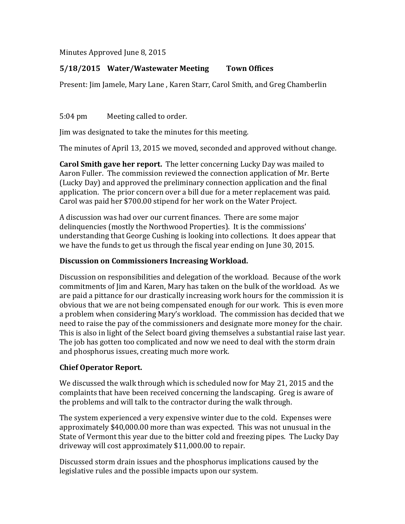Minutes Approved June 8, 2015

# **5/18/2015 Water/Wastewater Meeting Town Offices**

Present: Jim Jamele, Mary Lane , Karen Starr, Carol Smith, and Greg Chamberlin

5:04 pm Meeting called to order.

Jim was designated to take the minutes for this meeting.

The minutes of April 13, 2015 we moved, seconded and approved without change.

**Carol Smith gave her report.** The letter concerning Lucky Day was mailed to Aaron Fuller. The commission reviewed the connection application of Mr. Berte (Lucky Day) and approved the preliminary connection application and the final application. The prior concern over a bill due for a meter replacement was paid. Carol was paid her \$700.00 stipend for her work on the Water Project.

A discussion was had over our current finances. There are some major delinquencies (mostly the Northwood Properties). It is the commissions' understanding that George Cushing is looking into collections. It does appear that we have the funds to get us through the fiscal year ending on June 30, 2015.

#### **Discussion on Commissioners Increasing Workload.**

Discussion on responsibilities and delegation of the workload. Because of the work commitments of Jim and Karen, Mary has taken on the bulk of the workload. As we are paid a pittance for our drastically increasing work hours for the commission it is obvious that we are not being compensated enough for our work. This is even more a problem when considering Mary's workload. The commission has decided that we need to raise the pay of the commissioners and designate more money for the chair. This is also in light of the Select board giving themselves a substantial raise last year. The job has gotten too complicated and now we need to deal with the storm drain and phosphorus issues, creating much more work.

## **Chief Operator Report.**

We discussed the walk through which is scheduled now for May 21, 2015 and the complaints that have been received concerning the landscaping. Greg is aware of the problems and will talk to the contractor during the walk through.

The system experienced a very expensive winter due to the cold. Expenses were approximately \$40,000.00 more than was expected. This was not unusual in the State of Vermont this year due to the bitter cold and freezing pipes. The Lucky Day driveway will cost approximately \$11,000.00 to repair.

Discussed storm drain issues and the phosphorus implications caused by the legislative rules and the possible impacts upon our system.